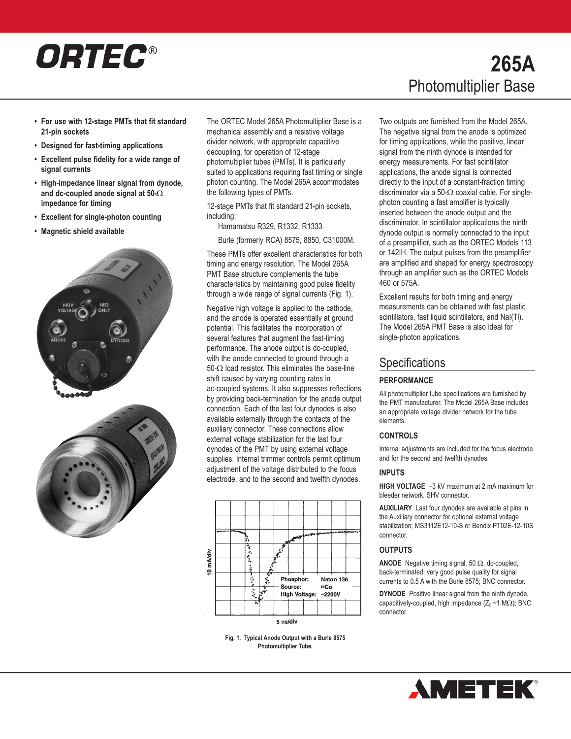

- **• For use with 12-stage PMTs that fit standard 21-pin sockets**
- **• Designed for fast-timing applications**
- **• Excellent pulse fidelity for a wide range of signal currents**
- **• High-impedance linear signal from dynode, and dc-coupled anode signal at 50-** $\Omega$ **impedance for timing**
- **• Excellent for single-photon counting**
- **• Magnetic shield available**





The ORTEC Model 265A Photomultiplier Base is a mechanical assembly and a resistive voltage divider network, with appropriate capacitive decoupling, for operation of 12-stage photomultiplier tubes (PMTs). It is particularly suited to applications requiring fast timing or single photon counting. The Model 265A accommodates the following types of PMTs.

12-stage PMTs that fit standard 21-pin sockets, including:

Hamamatsu R329, R1332, R1333

Burle (formerly RCA) 8575, 8850, C31000M.

These PMTs offer excellent characteristics for both timing and energy resolution. The Model 265A PMT Base structure complements the tube characteristics by maintaining good pulse fidelity through a wide range of signal currents (Fig. 1).

Negative high voltage is applied to the cathode, and the anode is operated essentially at ground potential. This facilitates the incorporation of several features that augment the fast-timing performance. The anode output is dc-coupled, with the anode connected to ground through a 50- $\Omega$  load resistor. This eliminates the base-line shift caused by varying counting rates in ac-coupled systems. It also suppresses reflections by providing back-termination for the anode output connection. Each of the last four dynodes is also available externally through the contacts of the auxiliary connector. These connections allow external voltage stabilization for the last four dynodes of the PMT by using external voltage supplies. Internal trimmer controls permit optimum adjustment of the voltage distributed to the focus electrode, and to the second and twelfth dynodes.



**Fig. 1. Typical Anode Output with a Burle 8575 Photomultiplier Tube.**

# **265A** Photomultiplier Base

Two outputs are furnished from the Model 265A. The negative signal from the anode is optimized for timing applications, while the positive, linear signal from the ninth dynode is intended for energy measurements. For fast scintillator applications, the anode signal is connected directly to the input of a constant-fraction timing discriminator via a 50- $\Omega$  coaxial cable. For singlephoton counting a fast amplifier is typically inserted between the anode output and the discriminator. In scintillator applications the ninth dynode output is normally connected to the input of a preamplifier, such as the [ORTEC](https://www.ortec-online.com/products/electronics/preamplifiers) Models 113 or [142IH.](https://www.ortec-online.com/products/electronics/preamplifiers) The output pulses from the preamplifier are amplified and shaped for energy spectroscopy through an amplifier such as the [ORTEC](https://www.ortec-online.com/products/electronics/amplifiers) Models 460 or [575A.](https://www.ortec-online.com/products/electronics/amplifiers)

Excellent results for both timing and energy measurements can be obtained with fast plastic scintillators, fast liquid scintillators, and NaI(Tl). The [Model](https://www.ortec-online.com/products/electronics/photomultiplier-tube-bases) 265A PMT Base is also ideal for single-photon applications.

## **Specifications**

## **PERFORMANCE**

All photomultiplier tube specifications are furnished by the PMT manufacturer. The Model 265A Base includes an appropriate voltage divider network for the tube elements.

### **CONTROLS**

Internal adjustments are included for the focus electrode and for the second and twelfth dynodes.

## **INPUTS**

**HIGH VOLTAGE** –3 kV maximum at 2 mA maximum for bleeder network. SHV connector.

**AUXILIARY** Last four dynodes are available at pins in the Auxiliary connector for optional external voltage stabilization; MS3112E12-10-S or Bendix PT02E-12-10S connector.

## **OUTPUTS**

**ANODE** Negative timing signal, 50  $\Omega$ , dc-coupled, back-terminated; very good pulse quality for signal currents to 0.5 A with the Burle 8575; BNC connector.

**DYNODE** Positive linear signal from the ninth dynode, capacitively-coupled, high impedance  $(Z_0 \sim 1 \text{ M}\Omega)$ ; BNC connector.